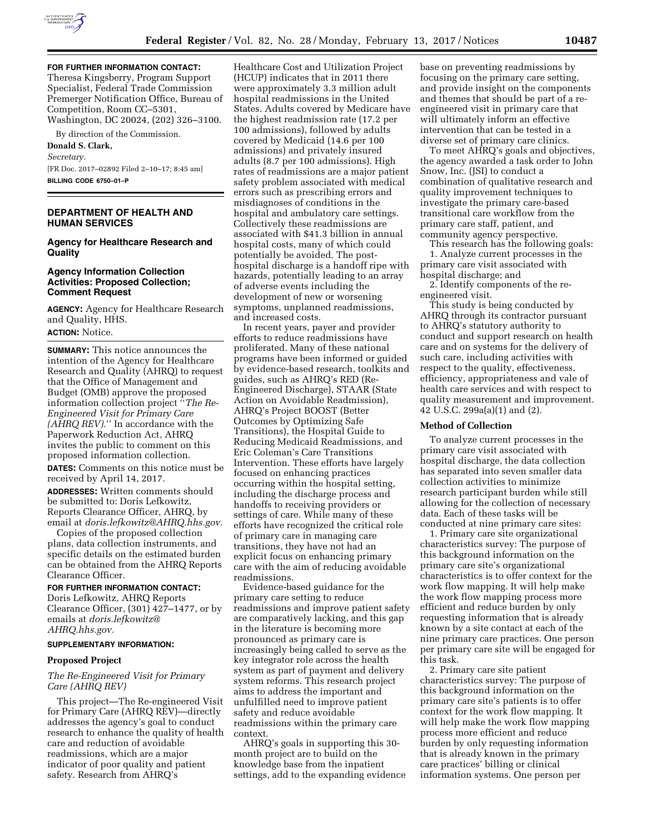

**FOR FURTHER INFORMATION CONTACT:**  Theresa Kingsberry, Program Support Specialist, Federal Trade Commission Premerger Notification Office, Bureau of Competition, Room CC–5301, Washington, DC 20024, (202) 326–3100.

By direction of the Commission.

# **Donald S. Clark,**  *Secretary.*  [FR Doc. 2017–02892 Filed 2–10–17; 8:45 am] **BILLING CODE 6750–01–P**

## **DEPARTMENT OF HEALTH AND HUMAN SERVICES**

### **Agency for Healthcare Research and Quality**

## **Agency Information Collection Activities: Proposed Collection; Comment Request**

**AGENCY:** Agency for Healthcare Research and Quality, HHS. **ACTION:** Notice.

**SUMMARY:** This notice announces the intention of the Agency for Healthcare Research and Quality (AHRQ) to request that the Office of Management and Budget (OMB) approve the proposed information collection project ''*The Re-Engineered Visit for Primary Care (AHRQ REV).*'' In accordance with the Paperwork Reduction Act, AHRQ invites the public to comment on this proposed information collection.

**DATES:** Comments on this notice must be received by April 14, 2017.

**ADDRESSES:** Written comments should be submitted to: Doris Lefkowitz, Reports Clearance Officer, AHRQ, by email at *[doris.lefkowitz@AHRQ.hhs.gov.](mailto:doris.lefkowitz@AHRQ.hhs.gov)* 

Copies of the proposed collection plans, data collection instruments, and specific details on the estimated burden can be obtained from the AHRQ Reports Clearance Officer.

### **FOR FURTHER INFORMATION CONTACT:**

Doris Lefkowitz, AHRQ Reports Clearance Officer, (301) 427–1477, or by emails at *[doris.lefkowitz@](mailto:doris.lefkowitz@AHRQ.hhs.gov) [AHRQ.hhs.gov.](mailto:doris.lefkowitz@AHRQ.hhs.gov)* 

#### **SUPPLEMENTARY INFORMATION:**

### **Proposed Project**

# *The Re-Engineered Visit for Primary Care (AHRQ REV)*

This project—The Re-engineered Visit for Primary Care (AHRQ REV)—directly addresses the agency's goal to conduct research to enhance the quality of health care and reduction of avoidable readmissions, which are a major indicator of poor quality and patient safety. Research from AHRQ's

Healthcare Cost and Utilization Project (HCUP) indicates that in 2011 there were approximately 3.3 million adult hospital readmissions in the United States. Adults covered by Medicare have the highest readmission rate (17.2 per 100 admissions), followed by adults covered by Medicaid (14.6 per 100 admissions) and privately insured adults (8.7 per 100 admissions). High rates of readmissions are a major patient safety problem associated with medical errors such as prescribing errors and misdiagnoses of conditions in the hospital and ambulatory care settings. Collectively these readmissions are associated with \$41.3 billion in annual hospital costs, many of which could potentially be avoided. The posthospital discharge is a handoff ripe with hazards, potentially leading to an array of adverse events including the development of new or worsening symptoms, unplanned readmissions, and increased costs.

In recent years, payer and provider efforts to reduce readmissions have proliferated. Many of these national programs have been informed or guided by evidence-based research, toolkits and guides, such as AHRQ's RED (Re-Engineered Discharge), STAAR (State Action on Avoidable Readmission), AHRQ's Project BOOST (Better Outcomes by Optimizing Safe Transitions), the Hospital Guide to Reducing Medicaid Readmissions, and Eric Coleman's Care Transitions Intervention. These efforts have largely focused on enhancing practices occurring within the hospital setting, including the discharge process and handoffs to receiving providers or settings of care. While many of these efforts have recognized the critical role of primary care in managing care transitions, they have not had an explicit focus on enhancing primary care with the aim of reducing avoidable readmissions.

Evidence-based guidance for the primary care setting to reduce readmissions and improve patient safety are comparatively lacking, and this gap in the literature is becoming more pronounced as primary care is increasingly being called to serve as the key integrator role across the health system as part of payment and delivery system reforms. This research project aims to address the important and unfulfilled need to improve patient safety and reduce avoidable readmissions within the primary care context.

AHRQ's goals in supporting this 30 month project are to build on the knowledge base from the inpatient settings, add to the expanding evidence

base on preventing readmissions by focusing on the primary care setting, and provide insight on the components and themes that should be part of a reengineered visit in primary care that will ultimately inform an effective intervention that can be tested in a diverse set of primary care clinics.

To meet AHRQ's goals and objectives, the agency awarded a task order to John Snow, Inc. (JSI) to conduct a combination of qualitative research and quality improvement techniques to investigate the primary care-based transitional care workflow from the primary care staff, patient, and community agency perspective.

This research has the following goals:

1. Analyze current processes in the primary care visit associated with hospital discharge; and

2. Identify components of the reengineered visit.

This study is being conducted by AHRQ through its contractor pursuant to AHRQ's statutory authority to conduct and support research on health care and on systems for the delivery of such care, including activities with respect to the quality, effectiveness, efficiency, appropriateness and vale of health care services and with respect to quality measurement and improvement. 42 U.S.C. 299a(a)(1) and (2).

### **Method of Collection**

To analyze current processes in the primary care visit associated with hospital discharge, the data collection has separated into seven smaller data collection activities to minimize research participant burden while still allowing for the collection of necessary data. Each of these tasks will be conducted at nine primary care sites:

1. Primary care site organizational characteristics survey: The purpose of this background information on the primary care site's organizational characteristics is to offer context for the work flow mapping. It will help make the work flow mapping process more efficient and reduce burden by only requesting information that is already known by a site contact at each of the nine primary care practices. One person per primary care site will be engaged for this task.

2. Primary care site patient characteristics survey: The purpose of this background information on the primary care site's patients is to offer context for the work flow mapping. It will help make the work flow mapping process more efficient and reduce burden by only requesting information that is already known in the primary care practices' billing or clinical information systems. One person per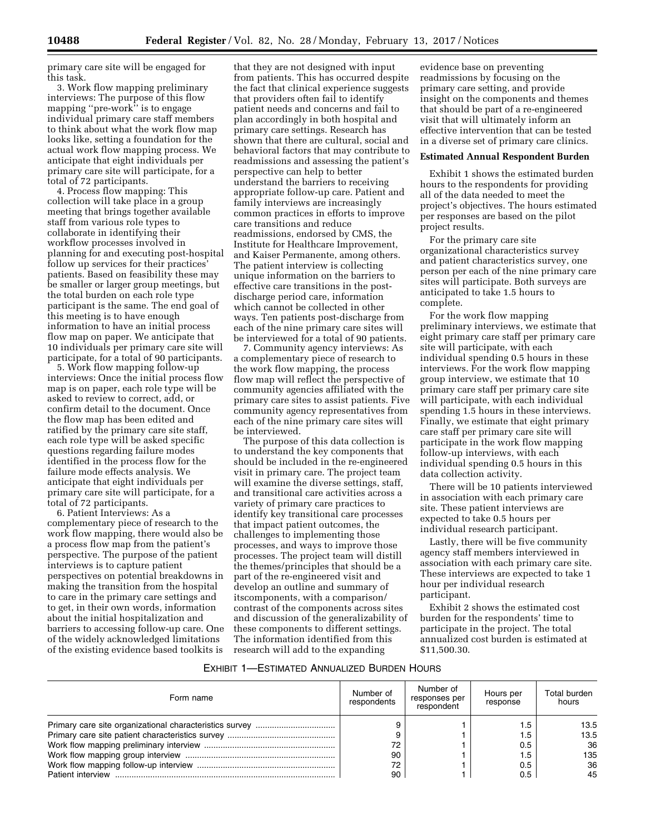primary care site will be engaged for this task.

3. Work flow mapping preliminary interviews: The purpose of this flow mapping ''pre-work'' is to engage individual primary care staff members to think about what the work flow map looks like, setting a foundation for the actual work flow mapping process. We anticipate that eight individuals per primary care site will participate, for a total of 72 participants.

4. Process flow mapping: This collection will take place in a group meeting that brings together available staff from various role types to collaborate in identifying their workflow processes involved in planning for and executing post-hospital follow up services for their practices' patients. Based on feasibility these may be smaller or larger group meetings, but the total burden on each role type participant is the same. The end goal of this meeting is to have enough information to have an initial process flow map on paper. We anticipate that 10 individuals per primary care site will participate, for a total of 90 participants.

5. Work flow mapping follow-up interviews: Once the initial process flow map is on paper, each role type will be asked to review to correct, add, or confirm detail to the document. Once the flow map has been edited and ratified by the primary care site staff, each role type will be asked specific questions regarding failure modes identified in the process flow for the failure mode effects analysis. We anticipate that eight individuals per primary care site will participate, for a total of 72 participants.

6. Patient Interviews: As a complementary piece of research to the work flow mapping, there would also be a process flow map from the patient's perspective. The purpose of the patient interviews is to capture patient perspectives on potential breakdowns in making the transition from the hospital to care in the primary care settings and to get, in their own words, information about the initial hospitalization and barriers to accessing follow-up care. One of the widely acknowledged limitations of the existing evidence based toolkits is

that they are not designed with input from patients. This has occurred despite the fact that clinical experience suggests that providers often fail to identify patient needs and concerns and fail to plan accordingly in both hospital and primary care settings. Research has shown that there are cultural, social and behavioral factors that may contribute to readmissions and assessing the patient's perspective can help to better understand the barriers to receiving appropriate follow-up care. Patient and family interviews are increasingly common practices in efforts to improve care transitions and reduce readmissions, endorsed by CMS, the Institute for Healthcare Improvement, and Kaiser Permanente, among others. The patient interview is collecting unique information on the barriers to effective care transitions in the postdischarge period care, information which cannot be collected in other ways. Ten patients post-discharge from each of the nine primary care sites will be interviewed for a total of 90 patients.

7. Community agency interviews: As a complementary piece of research to the work flow mapping, the process flow map will reflect the perspective of community agencies affiliated with the primary care sites to assist patients. Five community agency representatives from each of the nine primary care sites will be interviewed.

The purpose of this data collection is to understand the key components that should be included in the re-engineered visit in primary care. The project team will examine the diverse settings, staff, and transitional care activities across a variety of primary care practices to identify key transitional care processes that impact patient outcomes, the challenges to implementing those processes, and ways to improve those processes. The project team will distill the themes/principles that should be a part of the re-engineered visit and develop an outline and summary of itscomponents, with a comparison/ contrast of the components across sites and discussion of the generalizability of these components to different settings. The information identified from this research will add to the expanding

evidence base on preventing readmissions by focusing on the primary care setting, and provide insight on the components and themes that should be part of a re-engineered visit that will ultimately inform an effective intervention that can be tested in a diverse set of primary care clinics.

### **Estimated Annual Respondent Burden**

Exhibit 1 shows the estimated burden hours to the respondents for providing all of the data needed to meet the project's objectives. The hours estimated per responses are based on the pilot project results.

For the primary care site organizational characteristics survey and patient characteristics survey, one person per each of the nine primary care sites will participate. Both surveys are anticipated to take 1.5 hours to complete.

For the work flow mapping preliminary interviews, we estimate that eight primary care staff per primary care site will participate, with each individual spending 0.5 hours in these interviews. For the work flow mapping group interview, we estimate that 10 primary care staff per primary care site will participate, with each individual spending 1.5 hours in these interviews. Finally, we estimate that eight primary care staff per primary care site will participate in the work flow mapping follow-up interviews, with each individual spending 0.5 hours in this data collection activity.

There will be 10 patients interviewed in association with each primary care site. These patient interviews are expected to take 0.5 hours per individual research participant.

Lastly, there will be five community agency staff members interviewed in association with each primary care site. These interviews are expected to take 1 hour per individual research participant.

Exhibit 2 shows the estimated cost burden for the respondents' time to participate in the project. The total annualized cost burden is estimated at \$11,500.30.

#### EXHIBIT 1—ESTIMATED ANNUALIZED BURDEN HOURS

| Form name         | Number of<br>respondents | Number of<br>responses per<br>respondent | Hours per<br>response | Total burden<br>hours |
|-------------------|--------------------------|------------------------------------------|-----------------------|-----------------------|
|                   |                          |                                          | . 5                   | 13.5                  |
|                   |                          |                                          | ، 5،                  | 13.5                  |
|                   | 72                       |                                          | 0.5                   | 36                    |
|                   | 90                       |                                          | 5.،                   | 135                   |
|                   | 72                       |                                          | 0.5                   | 36                    |
| Patient interview | 90                       |                                          | 0.5                   | 45                    |